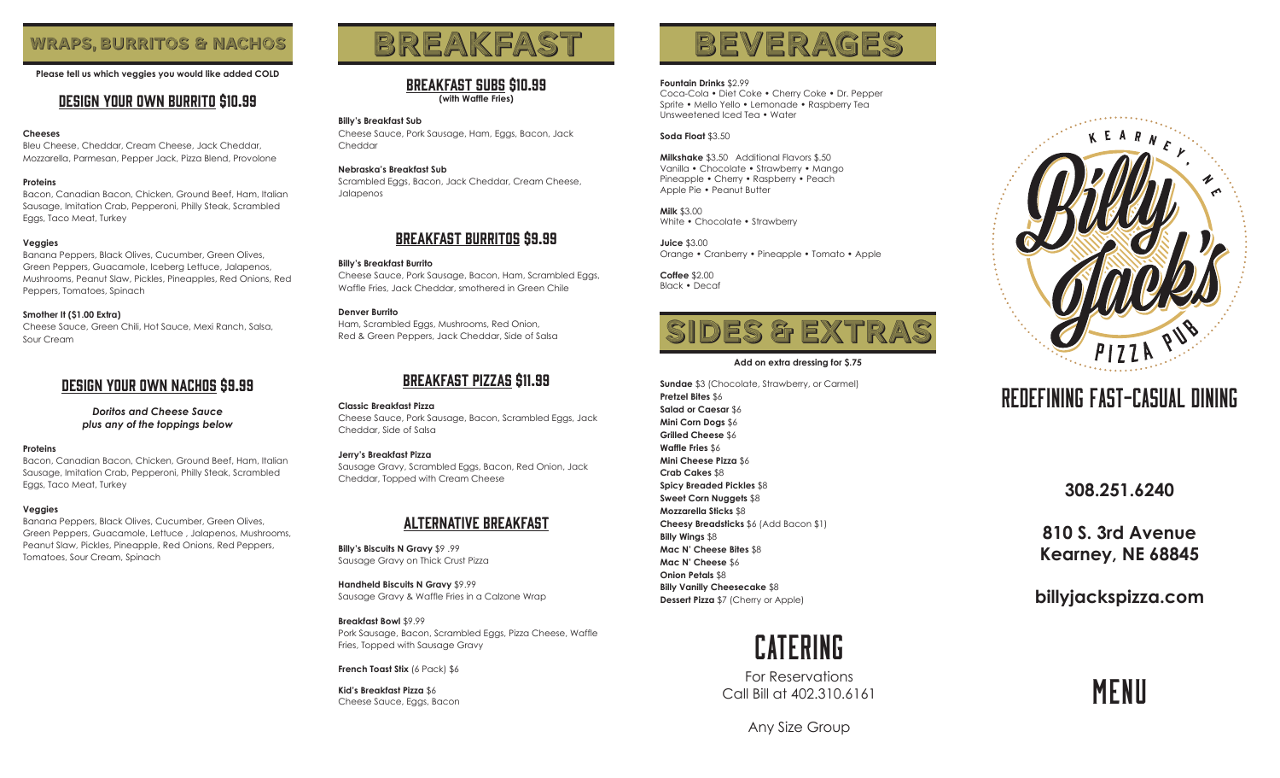**Please tell us which veggies you would like added COLD**

# Design your own Burrito \$10.99

# **Cheeses**

Bleu Cheese, Cheddar, Cream Cheese, Jack Cheddar, Mozzarella, Parmesan, Pepper Jack, Pizza Blend, Provolone

# **Proteins**

Bacon, Canadian Bacon, Chicken, Ground Beef, Ham, Italian Sausage, Imitation Crab, Pepperoni, Philly Steak, Scrambled Eggs, Taco Meat, Turkey

# **Veggies**

Banana Peppers, Black Olives, Cucumber, Green Olives, Green Peppers, Guacamole, Iceberg Lettuce, Jalapenos, Mushrooms, Peanut Slaw, Pickles, Pineapples, Red Onions, Red Peppers, Tomatoes, Spinach

#### **Smother It (\$1.00 Extra)**

Cheese Sauce, Green Chili, Hot Sauce, Mexi Ranch, Salsa, Sour Cream

# Design your own NACHOS \$9.99

*Doritos and Cheese Sauce plus any of the toppings below*

#### **Proteins**

Bacon, Canadian Bacon, Chicken, Ground Beef, Ham, Italian Sausage, Imitation Crab, Pepperoni, Philly Steak, Scrambled Eggs, Taco Meat, Turkey

# **Veggies**

Banana Peppers, Black Olives, Cucumber, Green Olives, Green Peppers, Guacamole, Lettuce , Jalapenos, Mushrooms, Peanut Slaw, Pickles, Pineapple, Red Onions, Red Peppers, Tomatoes, Sour Cream, Spinach

# WRAPS, BURRITOS & NACHOS BREAKFAST BEVERAGES

# breakfast SUBs \$10.99 **(with Waffle Fries)**

#### **Billy's Breakfast Sub**

Cheese Sauce, Pork Sausage, Ham, Eggs, Bacon, Jack Cheddar

# **Nebraska's Breakfast Sub**

Scrambled Eggs, Bacon, Jack Cheddar, Cream Cheese, Jalapenos

# breakfast burritos \$9.99

# **Billy's Breakfast Burrito**

Cheese Sauce, Pork Sausage, Bacon, Ham, Scrambled Eggs, Waffle Fries, Jack Cheddar, smothered in Green Chile

# **Denver Burrito**

Ham, Scrambled Eggs, Mushrooms, Red Onion, Red & Green Peppers, Jack Cheddar, Side of Salsa

# breakfast Pizzas \$11.99

**Classic Breakfast Pizza** Cheese Sauce, Pork Sausage, Bacon, Scrambled Eggs, Jack Cheddar, Side of Salsa

# **Jerry's Breakfast Pizza**

Sausage Gravy, Scrambled Eggs, Bacon, Red Onion, Jack Cheddar, Topped with Cream Cheese

# ALTERNATIVE BREAKFAST

**Billy's Biscuits N Gravy** \$9 .99 Sausage Gravy on Thick Crust Pizza

**Handheld Biscuits N Gravy** \$9.99 Sausage Gravy & Waffle Fries in a Calzone Wrap

# **Breakfast Bowl** \$9.99

Pork Sausage, Bacon, Scrambled Eggs, Pizza Cheese, Waffle Fries, Topped with Sausage Gravy

**French Toast Stix** (6 Pack) \$6

**Kid's Breakfast Pizza** \$6 Cheese Sauce, Eggs, Bacon

# **Fountain Drinks** \$2.99

Coca-Cola • Diet Coke • Cherry Coke • Dr. Pepper Sprite • Mello Yello • Lemonade • Raspberry Tea Unsweetened Iced Tea • Water

# **Soda Float** \$3.50

**Milkshake** \$3.50 Additional Flavors \$.50 Vanilla • Chocolate • Strawberry • Mango Pineapple • Cherry • Raspberry • Peach Apple Pie • Peanut Butter

**Milk** \$3.00 White • Chocolate • Strawberry

**Juice** \$3.00 Orange • Cranberry • Pineapple • Tomato • Apple

**Coffee** \$2.00 Black • Decaf



#### **Add on extra dressing for \$.75**

**Sundae** \$3 (Chocolate, Strawberry, or Carmel) **Pretzel Bites** \$6 **Salad or Caesar** \$6 **Mini Corn Dogs** \$6 **Grilled Cheese** \$6 **Waffle Fries** \$6 **Mini Cheese Pizza** \$6 **Crab Cakes** \$8 **Spicy Breaded Pickles** \$8 **Sweet Corn Nuggets** \$8 **Mozzarella Sticks** \$8 **Cheesy Breadsticks** \$6 (Add Bacon \$1) **Billy Wings** \$8 **Mac N' Cheese Bites** \$8 **Mac N' Cheese** \$6 **Onion Petals** \$8 **Billy Vanilly Cheesecake** \$8 **Dessert Pizza** \$7 (Cherry or Apple)



For Reservations Call Bill at 402.310.6161



# Redefining Fast-Casual Dining

**308.251.6240**

**810 S. 3rd Avenue Kearney, NE 68845**

**billyjackspizza.com**